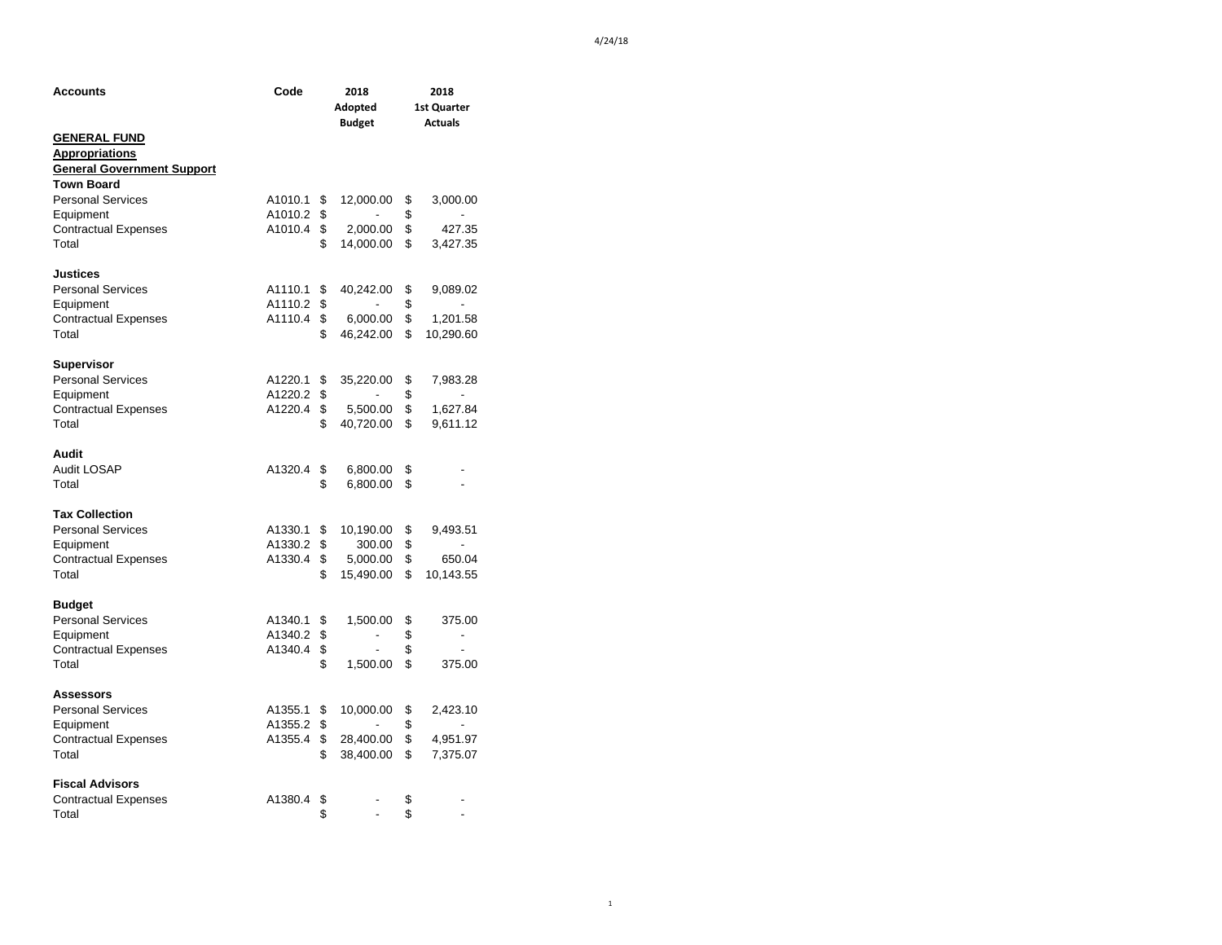| Code<br>Accounts                             |         | 2018<br>Adopted<br><b>Budget</b> | 2018<br>1st Quarter<br><b>Actuals</b> |           |  |
|----------------------------------------------|---------|----------------------------------|---------------------------------------|-----------|--|
| <b>GENERAL FUND</b><br><b>Appropriations</b> |         |                                  |                                       |           |  |
| <b>General Government Support</b>            |         |                                  |                                       |           |  |
| <b>Town Board</b>                            |         |                                  |                                       |           |  |
| <b>Personal Services</b>                     | A1010.1 | \$<br>12,000.00                  | \$                                    | 3,000.00  |  |
| Equipment                                    | A1010.2 | \$                               | \$                                    |           |  |
| <b>Contractual Expenses</b>                  | A1010.4 | \$<br>2,000.00                   | \$                                    | 427.35    |  |
| Total                                        |         | \$<br>14,000.00                  | \$                                    | 3,427.35  |  |
| <b>Justices</b>                              |         |                                  |                                       |           |  |
| <b>Personal Services</b>                     | A1110.1 | \$<br>40,242.00                  | \$                                    | 9,089.02  |  |
| Equipment                                    | A1110.2 | \$                               | \$                                    |           |  |
| <b>Contractual Expenses</b>                  | A1110.4 | \$<br>6,000.00                   | \$                                    | 1,201.58  |  |
| Total                                        |         | \$<br>46,242.00                  | \$                                    | 10,290.60 |  |
| Supervisor                                   |         |                                  |                                       |           |  |
| <b>Personal Services</b>                     | A1220.1 | \$<br>35,220.00                  | \$                                    | 7,983.28  |  |
| Equipment                                    | A1220.2 | \$                               | \$                                    |           |  |
| <b>Contractual Expenses</b>                  | A1220.4 | \$<br>5,500.00                   | \$                                    | 1,627.84  |  |
| Total                                        |         | \$<br>40,720.00                  | \$                                    | 9,611.12  |  |
| Audit                                        |         |                                  |                                       |           |  |
| Audit LOSAP                                  | A1320.4 | \$<br>6,800.00                   | \$                                    |           |  |
| Total                                        |         | \$<br>6,800.00                   | \$                                    |           |  |
| <b>Tax Collection</b>                        |         |                                  |                                       |           |  |
| <b>Personal Services</b>                     | A1330.1 | \$<br>10,190.00                  | \$                                    | 9,493.51  |  |
| Equipment                                    | A1330.2 | \$<br>300.00                     | \$                                    |           |  |
| <b>Contractual Expenses</b>                  | A1330.4 | \$5,000.00                       | \$                                    | 650.04    |  |
| Total                                        |         | \$<br>15,490.00                  | \$                                    | 10,143.55 |  |
| <b>Budget</b>                                |         |                                  |                                       |           |  |
| <b>Personal Services</b>                     | A1340.1 | \$<br>1,500.00                   | \$                                    | 375.00    |  |
| Equipment                                    | A1340.2 | \$                               | \$                                    |           |  |
| <b>Contractual Expenses</b>                  | A1340.4 | \$                               | \$                                    |           |  |
| Total                                        |         | \$<br>1,500.00                   | \$                                    | 375.00    |  |
| Assessors                                    |         |                                  |                                       |           |  |
| <b>Personal Services</b>                     | A1355.1 | \$<br>10,000.00                  | \$                                    | 2,423.10  |  |
| Equipment                                    | A1355.2 | \$                               | \$                                    |           |  |
| <b>Contractual Expenses</b>                  | A1355.4 | \$<br>28,400.00                  | \$                                    | 4,951.97  |  |
| Total                                        |         | \$<br>38,400.00                  | \$                                    | 7,375.07  |  |
| <b>Fiscal Advisors</b>                       |         |                                  |                                       |           |  |
| <b>Contractual Expenses</b>                  | A1380.4 | \$<br>$\overline{\phantom{a}}$   | \$                                    |           |  |
| Total                                        |         | \$                               | \$                                    |           |  |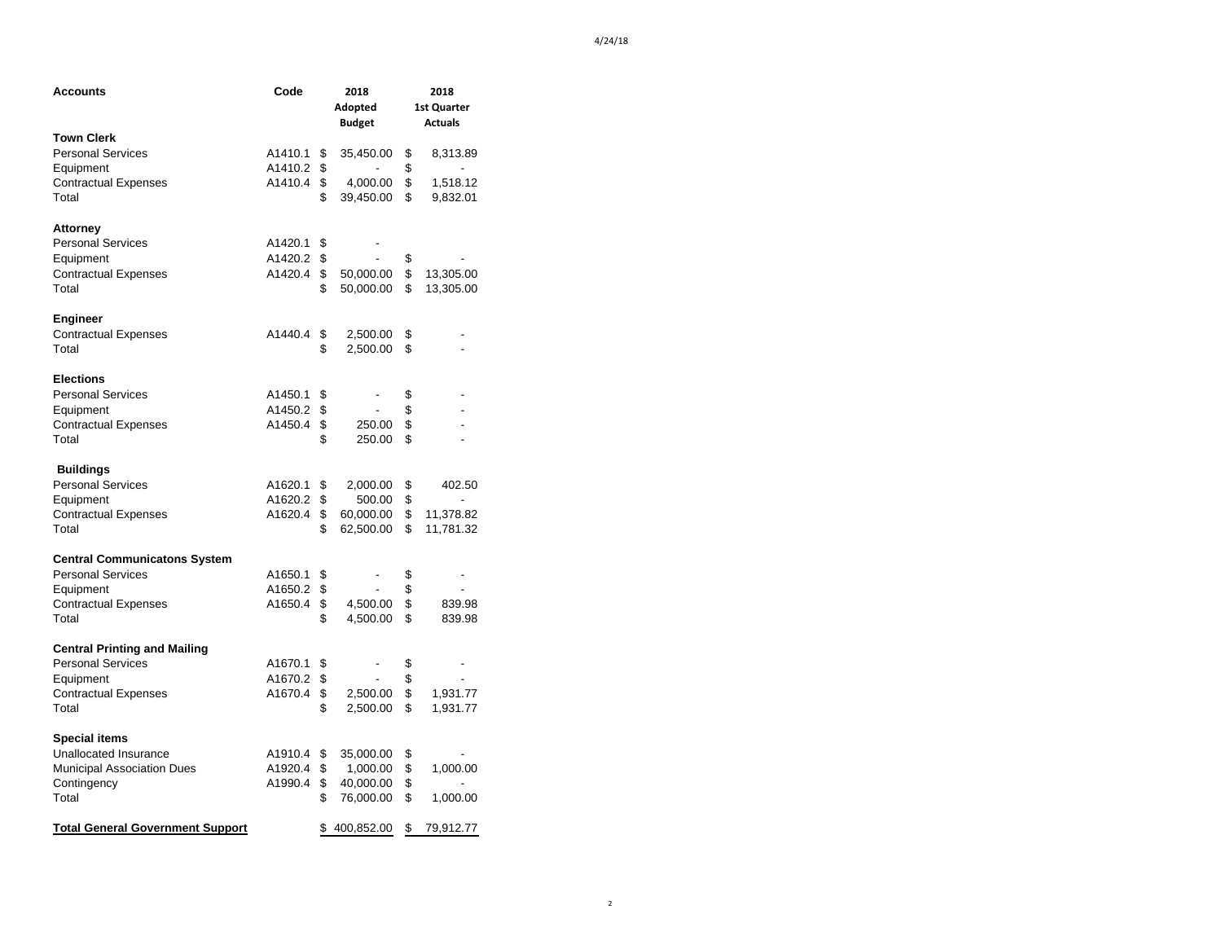| Accounts                                | Code    | 2018           |                          | 2018 |                |  |
|-----------------------------------------|---------|----------------|--------------------------|------|----------------|--|
|                                         |         |                | Adopted                  |      | 1st Quarter    |  |
|                                         |         |                | <b>Budget</b>            |      | <b>Actuals</b> |  |
| <b>Town Clerk</b>                       |         |                |                          |      |                |  |
| <b>Personal Services</b>                | A1410.1 | \$             | 35,450.00                | \$   | 8,313.89       |  |
| Equipment                               | A1410.2 | \$             |                          | \$   | $\overline{a}$ |  |
| <b>Contractual Expenses</b>             | A1410.4 | \$             | 4,000.00                 | \$   | 1,518.12       |  |
| Total                                   |         | \$             | 39,450.00                | \$   | 9,832.01       |  |
| <b>Attorney</b>                         |         |                |                          |      |                |  |
| <b>Personal Services</b>                | A1420.1 | \$             |                          |      |                |  |
| Equipment                               | A1420.2 | \$             |                          | \$   |                |  |
| <b>Contractual Expenses</b>             | A1420.4 | $\mathfrak{S}$ | 50,000.00                | \$   | 13,305.00      |  |
| Total                                   |         | \$             | 50,000.00                | \$   | 13,305.00      |  |
| <b>Engineer</b>                         |         |                |                          |      |                |  |
| <b>Contractual Expenses</b>             | A1440.4 | \$             | 2,500.00                 | \$   |                |  |
| Total                                   |         | \$             | 2,500.00                 | \$   |                |  |
| <b>Elections</b>                        |         |                |                          |      |                |  |
| <b>Personal Services</b>                | A1450.1 | \$             |                          | \$   |                |  |
| Equipment                               | A1450.2 | \$             | $\blacksquare$           | \$   |                |  |
| <b>Contractual Expenses</b>             | A1450.4 | \$             | 250.00                   | \$   |                |  |
| Total                                   |         | \$             | 250.00                   | \$   |                |  |
| <b>Buildings</b>                        |         |                |                          |      |                |  |
| <b>Personal Services</b>                | A1620.1 | \$             | 2,000.00                 | \$   | 402.50         |  |
| Equipment                               | A1620.2 | \$             | 500.00                   | \$   |                |  |
| <b>Contractual Expenses</b>             | A1620.4 | \$             | 60,000.00                | \$   | 11,378.82      |  |
| Total                                   |         | \$             | 62,500.00                | \$   | 11,781.32      |  |
| <b>Central Communicatons System</b>     |         |                |                          |      |                |  |
| <b>Personal Services</b>                | A1650.1 | \$             |                          | \$   |                |  |
| Equipment                               | A1650.2 | \$             |                          | \$   |                |  |
| <b>Contractual Expenses</b>             | A1650.4 | \$             | 4,500.00                 | \$   | 839.98         |  |
| Total                                   |         | \$             | 4,500.00                 | \$   | 839.98         |  |
| <b>Central Printing and Mailing</b>     |         |                |                          |      |                |  |
| <b>Personal Services</b>                | A1670.1 | \$             | $\overline{\phantom{a}}$ | \$   | $\overline{a}$ |  |
| Equipment                               | A1670.2 | \$             | $\overline{a}$           | \$   |                |  |
| <b>Contractual Expenses</b>             | A1670.4 | \$             | 2,500.00                 | \$   | 1,931.77       |  |
| Total                                   |         | \$             | 2,500.00                 | \$   | 1,931.77       |  |
| <b>Special items</b>                    |         |                |                          |      |                |  |
| Unallocated Insurance                   | A1910.4 | \$             | 35,000.00                | \$   |                |  |
| <b>Municipal Association Dues</b>       | A1920.4 | \$             | 1,000.00                 | \$   | 1,000.00       |  |
| Contingency                             | A1990.4 | \$             | 40,000.00                | \$   |                |  |
| Total                                   |         | \$             | 76,000.00                | \$   | 1,000.00       |  |
| <b>Total General Government Support</b> |         | \$             | 400,852.00               | \$   | 79,912.77      |  |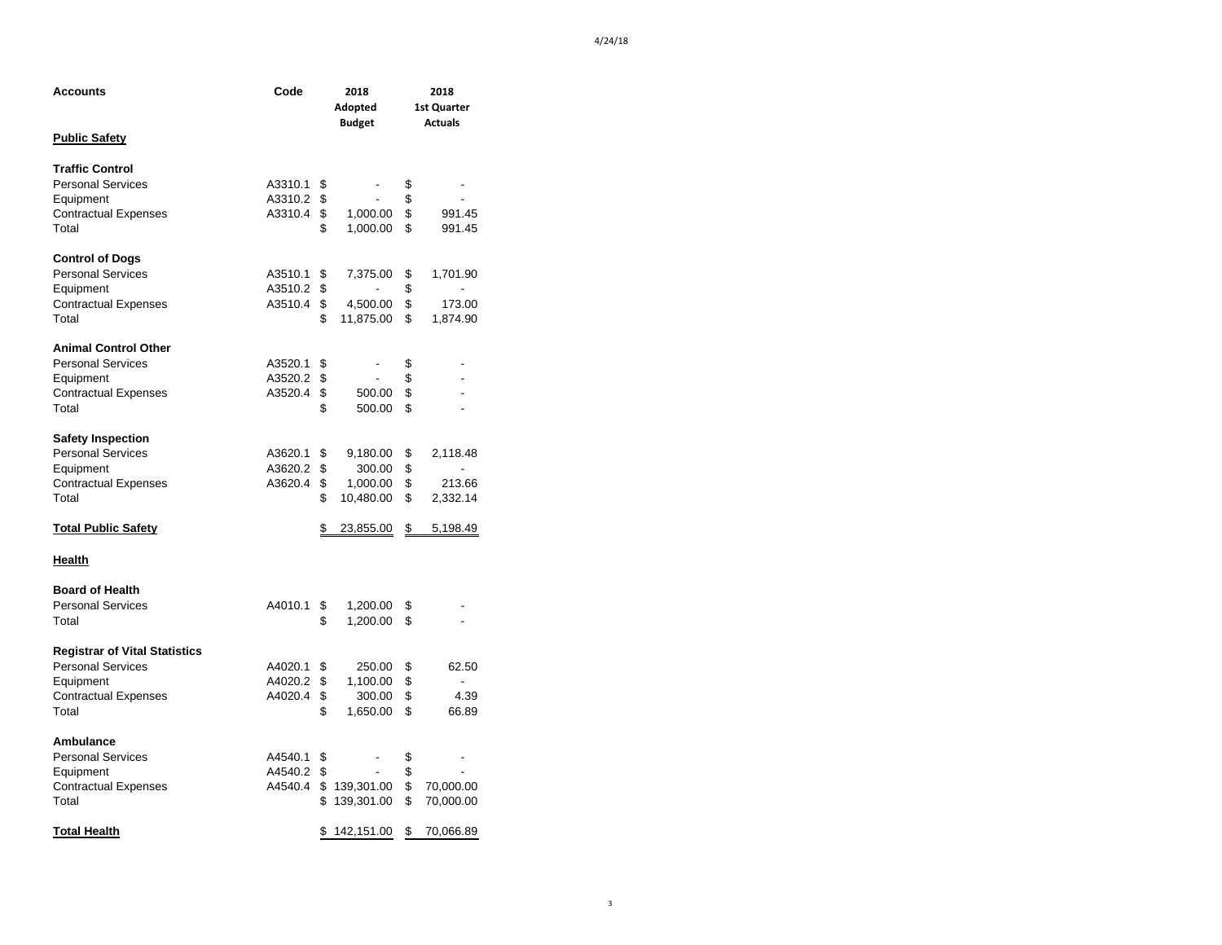| Accounts                             | Code    | 2018                           | 2018        |                          |  |
|--------------------------------------|---------|--------------------------------|-------------|--------------------------|--|
|                                      |         | Adopted                        | 1st Quarter |                          |  |
|                                      |         | <b>Budget</b>                  |             | <b>Actuals</b>           |  |
| <b>Public Safety</b>                 |         |                                |             |                          |  |
|                                      |         |                                |             |                          |  |
| <b>Traffic Control</b>               |         |                                |             |                          |  |
| <b>Personal Services</b>             | A3310.1 | \$                             | \$          |                          |  |
| Equipment                            | A3310.2 | \$                             | \$          |                          |  |
| <b>Contractual Expenses</b>          | A3310.4 | \$<br>1,000.00                 | \$          | 991.45                   |  |
| Total                                |         | \$<br>1,000.00                 | \$          | 991.45                   |  |
|                                      |         |                                |             |                          |  |
| <b>Control of Dogs</b>               |         |                                |             |                          |  |
| <b>Personal Services</b>             | A3510.1 | \$<br>7,375.00                 | \$          | 1,701.90                 |  |
| Equipment                            | A3510.2 | \$<br>$\overline{\phantom{0}}$ | \$          | Ĭ.                       |  |
| <b>Contractual Expenses</b>          | A3510.4 | \$<br>4,500.00                 | \$          | 173.00                   |  |
| Total                                |         | \$<br>11,875.00                | \$          | 1,874.90                 |  |
|                                      |         |                                |             |                          |  |
| <b>Animal Control Other</b>          |         |                                |             |                          |  |
| <b>Personal Services</b>             | A3520.1 | \$                             | \$          |                          |  |
| Equipment                            | A3520.2 | \$<br>L,                       | \$          |                          |  |
| <b>Contractual Expenses</b>          | A3520.4 | \$<br>500.00                   | \$          | $\overline{\phantom{0}}$ |  |
| Total                                |         | \$<br>500.00                   | \$          |                          |  |
|                                      |         |                                |             |                          |  |
| <b>Safety Inspection</b>             |         |                                |             |                          |  |
| <b>Personal Services</b>             | A3620.1 | \$<br>9,180.00                 | \$          | 2,118.48                 |  |
| Equipment                            | A3620.2 | \$<br>300.00                   | \$          | $\overline{a}$           |  |
| <b>Contractual Expenses</b>          | A3620.4 | \$<br>1,000.00                 | \$          | 213.66                   |  |
| Total                                |         | \$<br>10,480.00                | \$          | 2,332.14                 |  |
|                                      |         |                                |             |                          |  |
| <b>Total Public Safety</b>           |         | \$<br>23,855.00                | \$          | 5,198.49                 |  |
| <u>Health</u>                        |         |                                |             |                          |  |
|                                      |         |                                |             |                          |  |
| <b>Board of Health</b>               |         |                                |             |                          |  |
| <b>Personal Services</b>             | A4010.1 | \$<br>1,200.00                 | \$          |                          |  |
| Total                                |         | \$<br>1,200.00                 | \$          |                          |  |
| <b>Registrar of Vital Statistics</b> |         |                                |             |                          |  |
|                                      |         |                                |             |                          |  |
| <b>Personal Services</b>             | A4020.1 | \$<br>250.00                   | \$          | 62.50<br>$\overline{a}$  |  |
| Equipment                            | A4020.2 | \$<br>1,100.00                 | \$          |                          |  |
| <b>Contractual Expenses</b>          | A4020.4 | \$<br>300.00                   | \$<br>\$    | 4.39                     |  |
| Total                                |         | \$<br>1,650.00                 |             | 66.89                    |  |
| Ambulance                            |         |                                |             |                          |  |
| <b>Personal Services</b>             | A4540.1 | \$                             | \$          |                          |  |
| Equipment                            | A4540.2 | \$<br>$\overline{\phantom{0}}$ | \$          |                          |  |
|                                      | A4540.4 | \$139,301.00                   | \$          | 70,000.00                |  |
| <b>Contractual Expenses</b><br>Total |         | \$<br>139,301.00               | \$          | 70,000.00                |  |
|                                      |         |                                |             |                          |  |
| <b>Total Health</b>                  |         | \$<br>142,151.00               | \$          | 70,066.89                |  |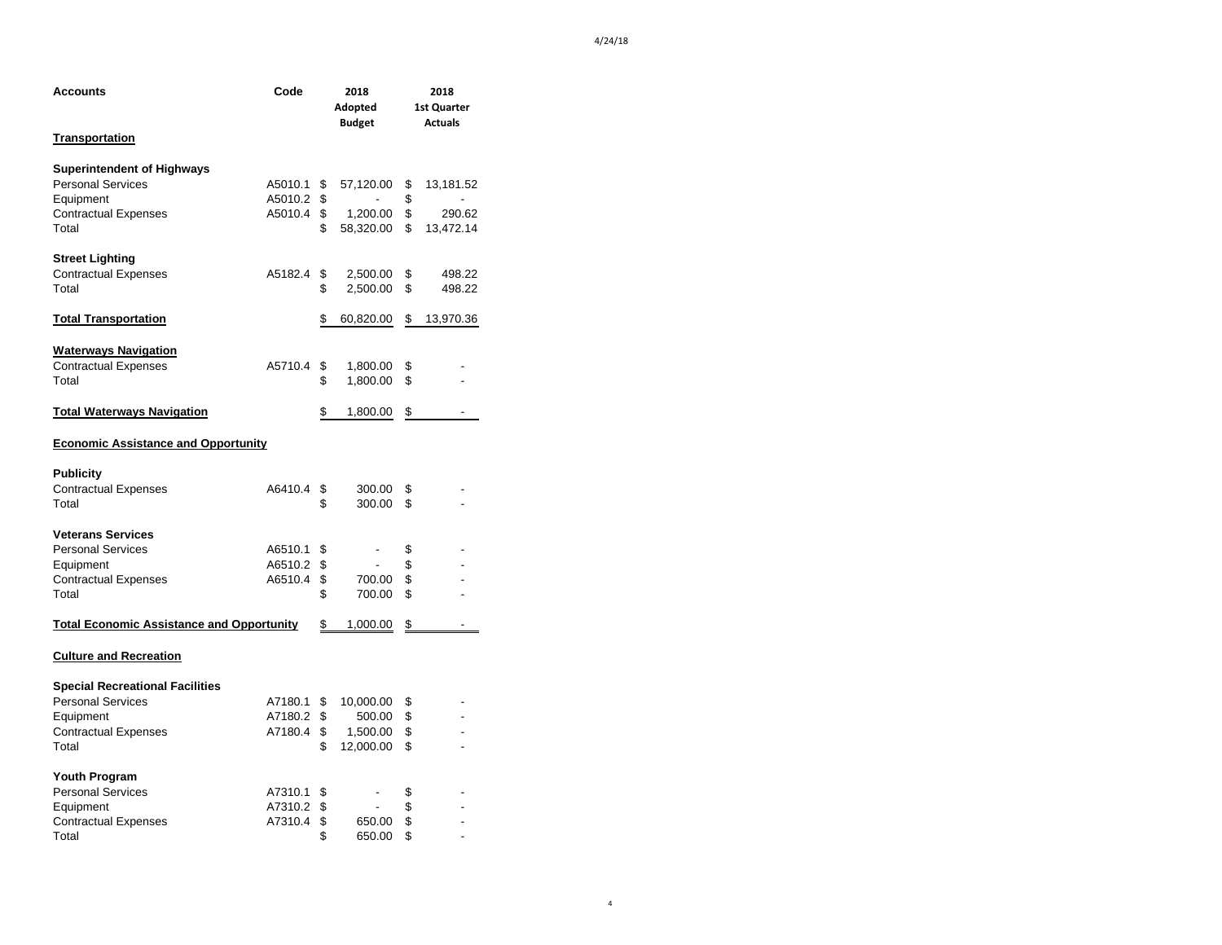| Code<br>Accounts                                 |         | 2018<br>Adopted<br><b>Budget</b> | 2018<br>1st Quarter<br><b>Actuals</b> |    |           |
|--------------------------------------------------|---------|----------------------------------|---------------------------------------|----|-----------|
| <u>Transportation</u>                            |         |                                  |                                       |    |           |
| <b>Superintendent of Highways</b>                |         |                                  |                                       |    |           |
| <b>Personal Services</b>                         | A5010.1 | \$                               | 57,120.00                             | \$ | 13,181.52 |
| Equipment                                        | A5010.2 | \$                               |                                       | \$ |           |
| <b>Contractual Expenses</b>                      | A5010.4 | \$                               | 1,200.00                              | \$ | 290.62    |
| Total                                            |         | \$                               | 58,320.00                             | \$ | 13,472.14 |
| <b>Street Lighting</b>                           |         |                                  |                                       |    |           |
| <b>Contractual Expenses</b>                      | A5182.4 | \$                               | 2,500.00                              | \$ | 498.22    |
| Total                                            |         | \$                               | 2,500.00                              | \$ | 498.22    |
| <u> Total Transportation</u>                     |         | \$                               | 60,820.00                             | \$ | 13,970.36 |
| <b>Waterways Navigation</b>                      |         |                                  |                                       |    |           |
| <b>Contractual Expenses</b>                      | A5710.4 | \$                               | 1,800.00                              | \$ |           |
| Total                                            |         | \$                               | 1,800.00                              | \$ |           |
| <b>Total Waterways Navigation</b>                |         | \$                               | 1,800.00                              | \$ |           |
| <b>Economic Assistance and Opportunity</b>       |         |                                  |                                       |    |           |
| <b>Publicity</b>                                 |         |                                  |                                       |    |           |
| <b>Contractual Expenses</b>                      | A6410.4 | \$                               | 300.00                                | \$ |           |
| Total                                            |         | \$                               | 300.00                                | \$ |           |
| <b>Veterans Services</b>                         |         |                                  |                                       |    |           |
| <b>Personal Services</b>                         | A6510.1 | \$                               | -                                     | \$ |           |
| Equipment                                        | A6510.2 | \$                               |                                       | \$ |           |
| <b>Contractual Expenses</b>                      | A6510.4 | \$                               | 700.00                                | \$ |           |
| Total                                            |         | \$                               | 700.00                                | \$ |           |
| <b>Total Economic Assistance and Opportunity</b> |         | \$                               | 1,000.00                              | \$ |           |
| <b>Culture and Recreation</b>                    |         |                                  |                                       |    |           |
| <b>Special Recreational Facilities</b>           |         |                                  |                                       |    |           |
| <b>Personal Services</b>                         | A7180.1 | \$                               | 10,000.00                             | \$ |           |
| Equipment                                        | A7180.2 | \$                               | 500.00                                | \$ |           |
| <b>Contractual Expenses</b>                      | A7180.4 | \$                               | 1,500.00                              | \$ |           |
| Total                                            |         | \$                               | 12,000.00                             | \$ |           |
| <b>Youth Program</b>                             |         |                                  |                                       |    |           |
| <b>Personal Services</b>                         | A7310.1 | \$                               |                                       | \$ |           |
| Equipment                                        | A7310.2 | \$                               | L.                                    | \$ |           |
| <b>Contractual Expenses</b>                      | A7310.4 | \$                               | 650.00                                | \$ |           |
| Total                                            |         | \$                               | 650.00                                | \$ |           |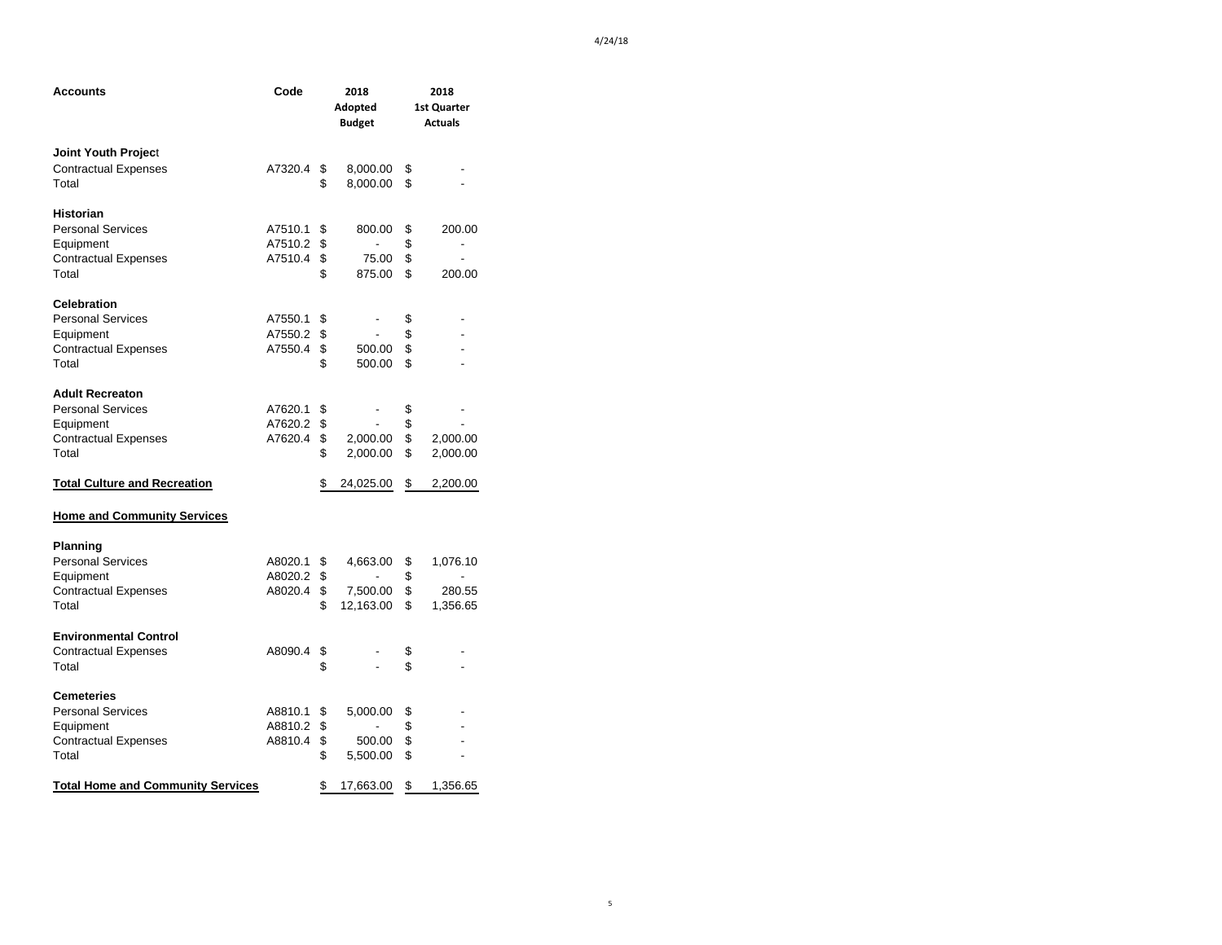| Accounts                                 | Code    | 2018<br>Adopted<br><b>Budget</b> | 2018<br>1st Quarter<br><b>Actuals</b> |                |
|------------------------------------------|---------|----------------------------------|---------------------------------------|----------------|
| Joint Youth Project                      |         |                                  |                                       |                |
| <b>Contractual Expenses</b>              | A7320.4 | \$<br>8,000.00                   | \$                                    |                |
| Total                                    |         | \$<br>8,000.00                   | \$                                    |                |
| <b>Historian</b>                         |         |                                  |                                       |                |
| <b>Personal Services</b>                 | A7510.1 | \$<br>800.00                     | \$                                    | 200.00         |
| Equipment                                | A7510.2 | \$<br>٠                          | \$                                    | $\frac{1}{2}$  |
| <b>Contractual Expenses</b>              | A7510.4 | \$<br>75.00                      | \$                                    |                |
| Total                                    |         | \$<br>875.00                     | \$                                    | 200.00         |
| <b>Celebration</b>                       |         |                                  |                                       |                |
| <b>Personal Services</b>                 | A7550.1 | \$<br>$\overline{a}$             | \$                                    |                |
| Equipment                                | A7550.2 | \$<br>$\overline{a}$             | \$                                    |                |
| <b>Contractual Expenses</b>              | A7550.4 | \$<br>500.00                     | \$                                    |                |
| Total                                    |         | \$<br>500.00                     | \$                                    |                |
| <b>Adult Recreaton</b>                   |         |                                  |                                       |                |
| <b>Personal Services</b>                 | A7620.1 | \$                               | \$                                    |                |
| Equipment                                | A7620.2 | \$                               | \$                                    |                |
| <b>Contractual Expenses</b>              | A7620.4 | \$<br>2,000.00                   | \$                                    | 2,000.00       |
| Total                                    |         | \$<br>2,000.00                   | \$                                    | 2,000.00       |
| <u>Total Culture and Recreation</u>      |         | \$<br>24,025.00                  | \$                                    | 2,200.00       |
| <b>Home and Community Services</b>       |         |                                  |                                       |                |
| Planning                                 |         |                                  |                                       |                |
| <b>Personal Services</b>                 | A8020.1 | \$<br>4,663.00                   | \$                                    | 1,076.10       |
| Equipment                                | A8020.2 | \$                               | \$                                    | $\overline{a}$ |
| <b>Contractual Expenses</b>              | A8020.4 | \$<br>7,500.00                   | \$                                    | 280.55         |
| Total                                    |         | \$<br>12,163.00                  | \$                                    | 1,356.65       |
| <b>Environmental Control</b>             |         |                                  |                                       |                |
| <b>Contractual Expenses</b>              | A8090.4 | \$                               | \$                                    |                |
| Total                                    |         | \$<br>L.                         | \$                                    |                |
| Cemeteries                               |         |                                  |                                       |                |
| <b>Personal Services</b>                 | A8810.1 | \$<br>5,000.00                   | \$                                    |                |
| Equipment                                | A8810.2 | \$                               | \$                                    |                |
| <b>Contractual Expenses</b>              | A8810.4 | \$<br>500.00                     | \$                                    |                |
| Total                                    |         | \$<br>5,500.00                   | \$                                    |                |
| <b>Total Home and Community Services</b> |         | \$<br>17,663.00                  | \$                                    | 1,356.65       |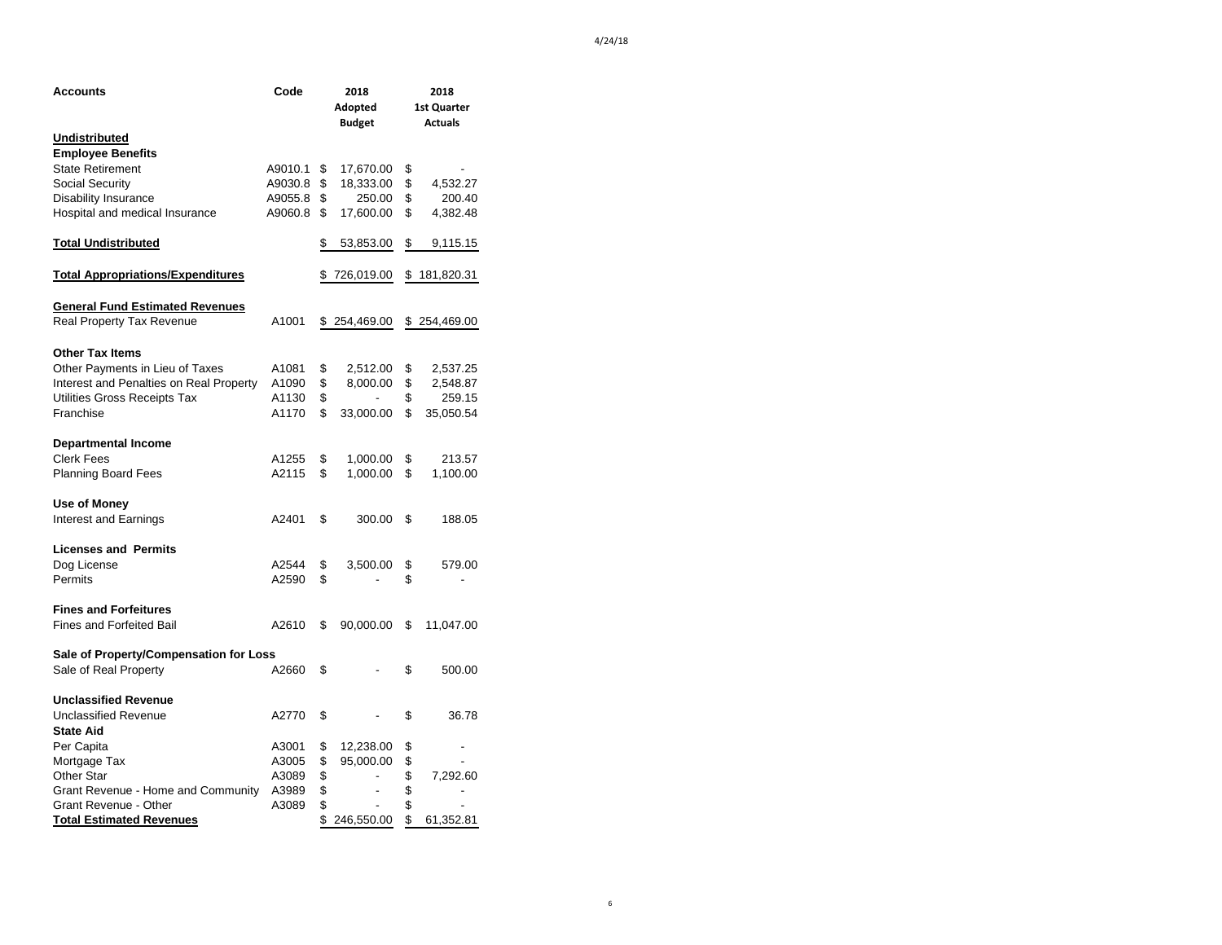| Accounts                                        | Code    | 2018                           | 2018             |
|-------------------------------------------------|---------|--------------------------------|------------------|
|                                                 |         | Adopted                        | 1st Quarter      |
|                                                 |         | <b>Budget</b>                  | <b>Actuals</b>   |
| <b>Undistributed</b>                            |         |                                |                  |
| <b>Employee Benefits</b>                        |         |                                |                  |
| <b>State Retirement</b>                         | A9010.1 | \$<br>17,670.00                | \$               |
| Social Security                                 | A9030.8 | \$<br>18,333.00                | \$<br>4,532.27   |
| <b>Disability Insurance</b>                     | A9055.8 | \$<br>250.00                   | \$<br>200.40     |
| Hospital and medical Insurance                  | A9060.8 | \$<br>17,600.00                | \$<br>4,382.48   |
| <b>Total Undistributed</b>                      |         | \$<br>53,853.00                | \$<br>9,115.15   |
| <u><b>Total Appropriations/Expenditures</b></u> |         | \$726,019.00                   | \$181,820.31     |
| <b>General Fund Estimated Revenues</b>          |         |                                |                  |
| <b>Real Property Tax Revenue</b>                | A1001   | \$254,469.00                   | \$<br>254,469.00 |
| <b>Other Tax Items</b>                          |         |                                |                  |
| Other Payments in Lieu of Taxes                 | A1081   | \$<br>2,512.00                 | \$<br>2,537.25   |
| Interest and Penalties on Real Property         | A1090   | \$<br>8,000.00                 | \$<br>2,548.87   |
| Utilities Gross Receipts Tax                    | A1130   | \$                             | \$<br>259.15     |
| Franchise                                       | A1170   | \$<br>33,000.00                | \$<br>35,050.54  |
| <b>Departmental Income</b>                      |         |                                |                  |
| <b>Clerk Fees</b>                               | A1255   | \$<br>1,000.00                 | \$<br>213.57     |
| <b>Planning Board Fees</b>                      | A2115   | \$<br>1,000.00                 | \$<br>1,100.00   |
| Use of Money                                    |         |                                |                  |
| Interest and Earnings                           | A2401   | \$<br>300.00                   | \$<br>188.05     |
| <b>Licenses and Permits</b>                     |         |                                |                  |
| Dog License                                     | A2544   | \$<br>3,500.00                 | \$<br>579.00     |
| Permits                                         | A2590   | \$                             | \$               |
| <b>Fines and Forfeitures</b>                    |         |                                |                  |
| <b>Fines and Forfeited Bail</b>                 | A2610   | \$<br>90,000.00                | \$<br>11,047.00  |
| Sale of Property/Compensation for Loss          |         |                                |                  |
| Sale of Real Property                           | A2660   | \$                             | \$<br>500.00     |
| <b>Unclassified Revenue</b>                     |         |                                |                  |
| <b>Unclassified Revenue</b>                     | A2770   | \$                             | \$<br>36.78      |
| <b>State Aid</b>                                |         |                                |                  |
| Per Capita                                      | A3001   | \$<br>12,238.00                | \$<br>-          |
| Mortgage Tax                                    | A3005   | \$<br>95,000.00                | \$<br>Ĭ.         |
| Other Star                                      | A3089   | \$                             | \$<br>7,292.60   |
| Grant Revenue - Home and Community              | A3989   | \$<br>$\frac{1}{2}$            | \$               |
| Grant Revenue - Other                           | A3089   | \$<br>$\overline{\phantom{a}}$ | \$               |
| <b>Total Estimated Revenues</b>                 |         | \$<br>246,550.00               | \$<br>61,352.81  |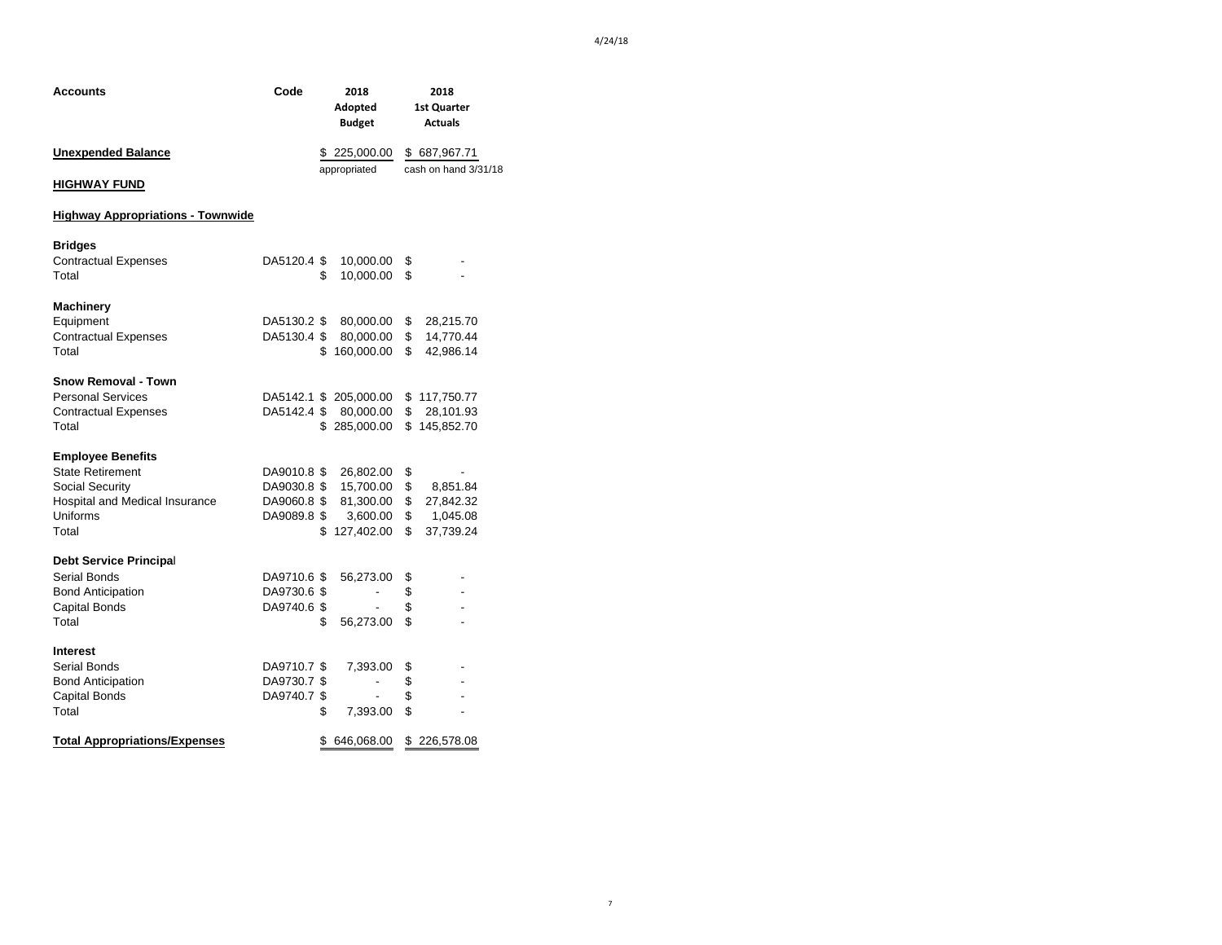| Code |              | 2018<br>Adopted<br><b>Budget</b>                                              |                                                                                                                                                                                                                                             | 2018<br><b>1st Quarter</b><br><b>Actuals</b>      |  |
|------|--------------|-------------------------------------------------------------------------------|---------------------------------------------------------------------------------------------------------------------------------------------------------------------------------------------------------------------------------------------|---------------------------------------------------|--|
|      | \$225,000.00 |                                                                               |                                                                                                                                                                                                                                             | \$687,967.71                                      |  |
|      |              |                                                                               |                                                                                                                                                                                                                                             | cash on hand 3/31/18                              |  |
|      |              |                                                                               |                                                                                                                                                                                                                                             |                                                   |  |
|      | \$           | 10,000.00<br>10,000.00                                                        | \$<br>\$                                                                                                                                                                                                                                    |                                                   |  |
|      |              | 80,000.00<br>80,000.00                                                        | \$<br>\$<br>\$                                                                                                                                                                                                                              | 28,215.70<br>14,770.44<br>42,986.14               |  |
|      |              |                                                                               |                                                                                                                                                                                                                                             | \$117,750.77<br>\$28,101.93<br>\$145,852.70       |  |
|      |              | 26,802.00<br>15,700.00<br>81,300.00<br>3,600.00<br>127,402.00                 | \$<br>\$<br>\$<br>\$                                                                                                                                                                                                                        | 8,851.84<br>27,842.32<br>\$ 1,045.08<br>37,739.24 |  |
|      | \$           | 56,273.00<br>56,273.00                                                        | \$<br>\$<br>\$<br>\$                                                                                                                                                                                                                        | $\overline{a}$                                    |  |
|      | \$           | 7,393.00<br>-<br>7,393.00                                                     | \$<br>\$<br>\$<br>\$                                                                                                                                                                                                                        | $\overline{a}$<br>226,578.08                      |  |
|      |              | DA9710.6 \$<br>DA9730.6 \$<br>DA9710.7 \$<br>DA9730.7 \$<br>DA9740.7 \$<br>\$ | appropriated<br>DA5120.4 \$<br>DA5130.2 \$<br>DA5130.4 \$<br>\$160,000.00<br>DA5142.1 \$ 205,000.00<br>DA5142.4 \$ 80,000.00<br>\$285,000.00<br>DA9010.8 \$<br>DA9030.8 \$<br>DA9060.8 \$<br>DA9089.8 \$<br>\$<br>DA9740.6 \$<br>646,068.00 | \$                                                |  |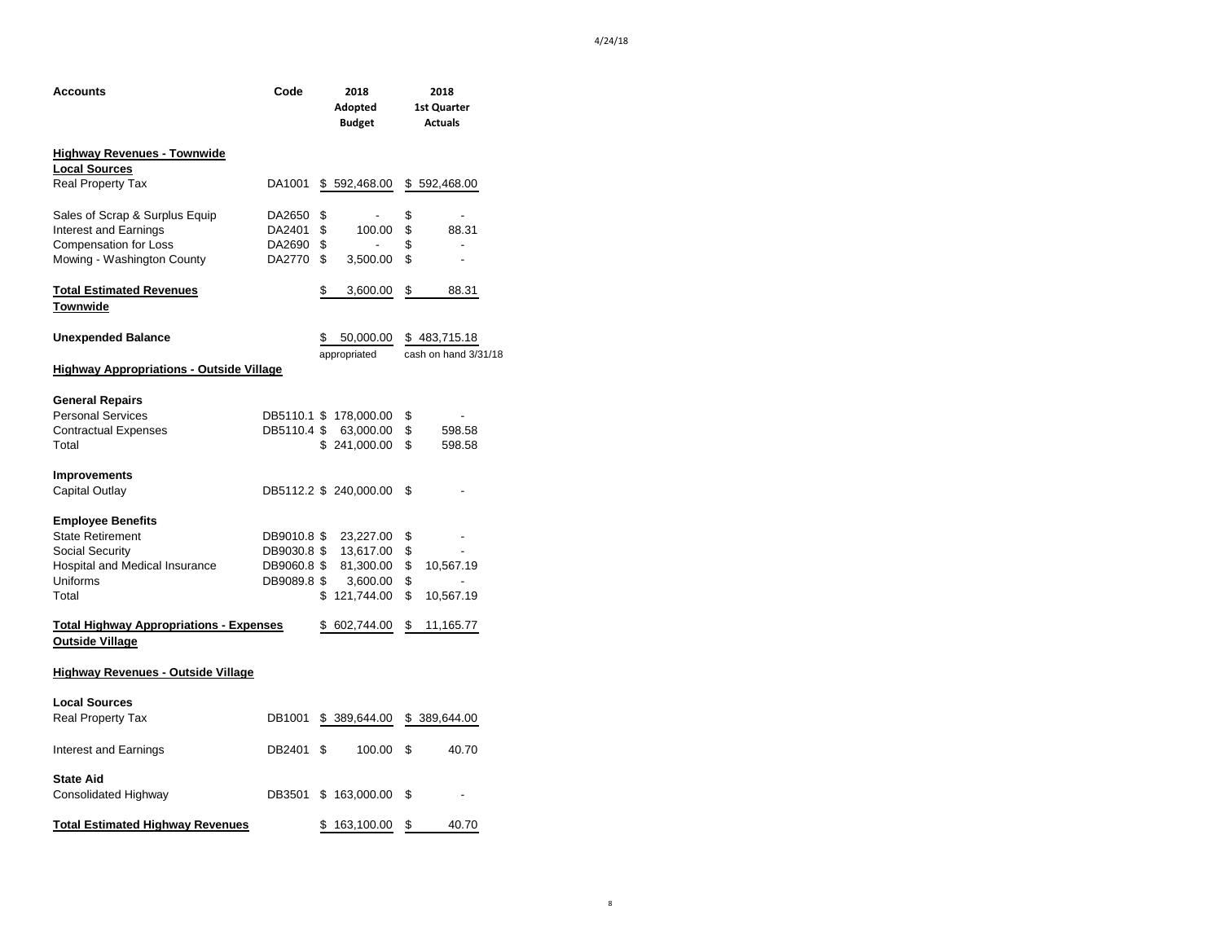| Accounts                                                                 | Code        | 2018 |                          | 2018                           |
|--------------------------------------------------------------------------|-------------|------|--------------------------|--------------------------------|
|                                                                          |             |      | Adopted<br><b>Budget</b> | 1st Quarter<br><b>Actuals</b>  |
| <b>Highway Revenues - Townwide</b>                                       |             |      |                          |                                |
| <b>Local Sources</b>                                                     |             |      |                          |                                |
| <b>Real Property Tax</b>                                                 | DA1001      |      | \$592,468.00             | \$592,468.00                   |
| Sales of Scrap & Surplus Equip                                           | DA2650      | \$   | ٠                        | \$<br>$\overline{a}$           |
| Interest and Earnings                                                    | DA2401      | \$   | 100.00                   | \$<br>88.31                    |
| <b>Compensation for Loss</b>                                             | DA2690      | \$   |                          | \$                             |
| Mowing - Washington County                                               | DA2770      | \$   | 3,500.00                 | \$<br>$\overline{\phantom{0}}$ |
| <u><b>Total Estimated Revenues</b></u><br>Townwide                       |             | \$   | 3,600.00                 | \$<br>88.31                    |
| <b>Unexpended Balance</b>                                                |             | \$   | 50,000.00                | \$483,715.18                   |
|                                                                          |             |      | appropriated             | cash on hand 3/31/18           |
| <b>Highway Appropriations - Outside Village</b>                          |             |      |                          |                                |
| <b>General Repairs</b>                                                   |             |      |                          |                                |
| <b>Personal Services</b>                                                 |             |      | DB5110.1 \$ 178,000.00   | \$                             |
| <b>Contractual Expenses</b>                                              |             |      | DB5110.4 \$ 63,000.00    | \$<br>598.58                   |
| Total                                                                    |             |      | \$241,000.00             | \$<br>598.58                   |
| <b>Improvements</b>                                                      |             |      |                          |                                |
| Capital Outlay                                                           |             |      | DB5112.2 \$ 240,000.00   | \$                             |
| <b>Employee Benefits</b>                                                 |             |      |                          |                                |
| <b>State Retirement</b>                                                  | DB9010.8 \$ |      | 23,227.00                | \$                             |
| Social Security                                                          | DB9030.8 \$ |      | 13,617.00                | \$                             |
| Hospital and Medical Insurance                                           | DB9060.8 \$ |      | 81,300.00                | \$<br>10,567.19                |
| Uniforms                                                                 | DB9089.8 \$ |      | 3,600.00                 | \$                             |
| Total                                                                    |             |      | \$121,744.00             | \$<br>10,567.19                |
| <b>Total Highway Appropriations - Expenses</b><br><b>Outside Village</b> |             |      | \$ 602,744.00            | \$<br>11,165.77                |
| <b>Highway Revenues - Outside Village</b>                                |             |      |                          |                                |
| <b>Local Sources</b>                                                     |             |      |                          |                                |
| <b>Real Property Tax</b>                                                 | DB1001      |      | \$389,644.00             | \$ 389,644.00                  |
| Interest and Earnings                                                    | DB2401      | \$   | 100.00                   | \$<br>40.70                    |
| <b>State Aid</b>                                                         |             |      |                          |                                |
| Consolidated Highway                                                     | DB3501      |      | \$163,000.00             | \$                             |
| <u>Total Estimated Highway Revenues</u>                                  |             | \$   | 163,100.00               | \$<br>40.70                    |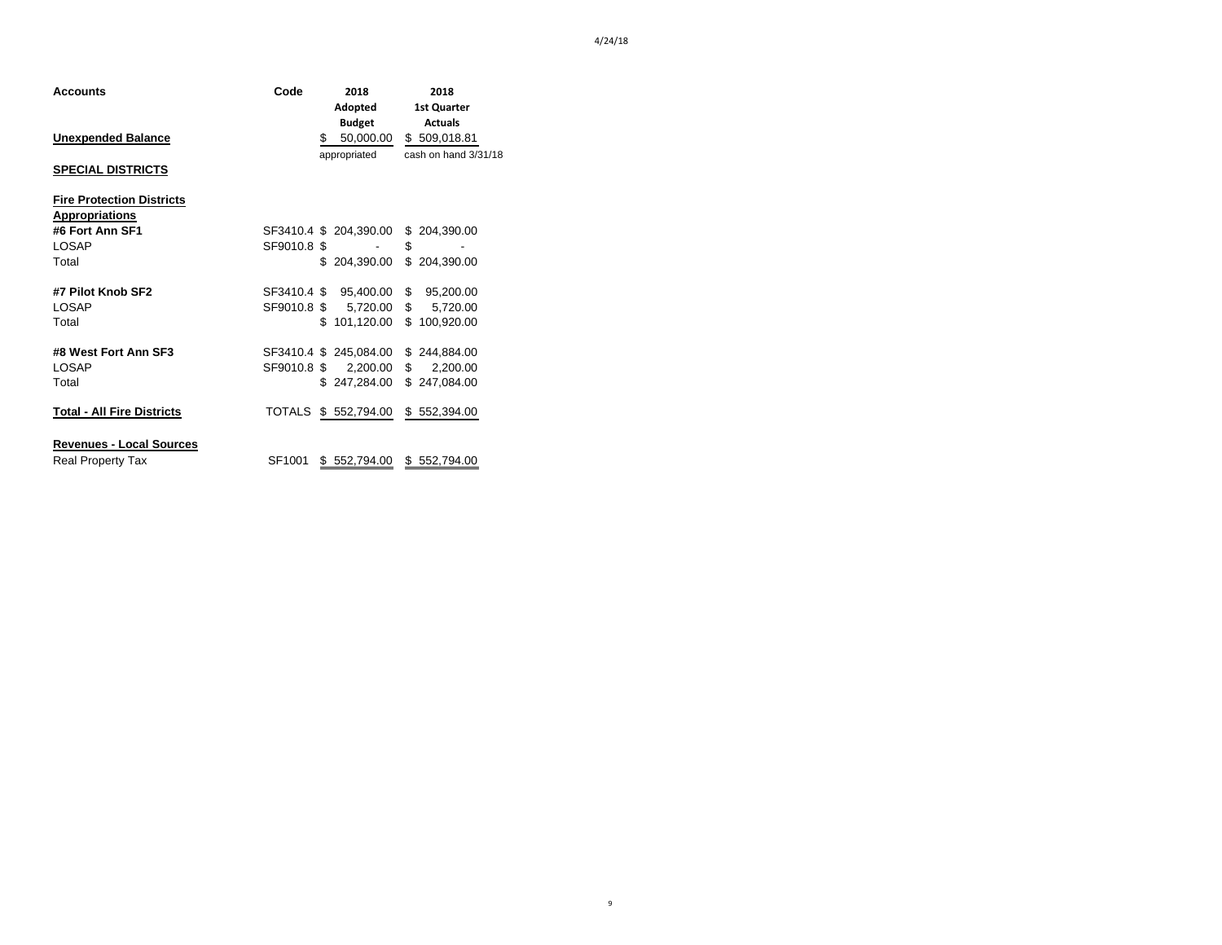| Accounts                         | Code        | 2018    |                        |              | 2018                     |  |  |
|----------------------------------|-------------|---------|------------------------|--------------|--------------------------|--|--|
|                                  |             | Adopted |                        |              | <b>1st Quarter</b>       |  |  |
|                                  |             |         | <b>Budget</b>          |              | <b>Actuals</b>           |  |  |
| <b>Unexpended Balance</b>        |             | \$      | 50,000.00              |              | \$509,018.81             |  |  |
|                                  |             |         | appropriated           |              | cash on hand 3/31/18     |  |  |
| <b>SPECIAL DISTRICTS</b>         |             |         |                        |              |                          |  |  |
| <b>Fire Protection Districts</b> |             |         |                        |              |                          |  |  |
| <b>Appropriations</b>            |             |         |                        |              |                          |  |  |
| #6 Fort Ann SF1                  |             |         | SF3410.4 \$ 204,390.00 |              | \$ 204,390.00            |  |  |
| <b>LOSAP</b>                     | SF9010.8 \$ |         |                        | \$           |                          |  |  |
| Total                            |             | \$.     | 204,390.00             | \$           | 204,390.00               |  |  |
| #7 Pilot Knob SF2                | SF3410.4 \$ |         | 95,400.00              | $\mathbb{S}$ | 95,200.00                |  |  |
| LOSAP                            |             |         | SF9010.8 \$ 5,720.00   |              | $\mathbb{S}$<br>5,720.00 |  |  |
| Total                            |             | \$.     | 101,120.00             |              | \$100,920.00             |  |  |
| #8 West Fort Ann SF3             |             |         | SF3410.4 \$ 245,084.00 |              | \$244,884.00             |  |  |
| LOSAP                            | SF9010.8 \$ |         | 2,200.00               |              | \$<br>2,200.00           |  |  |
| Total                            |             |         | \$247,284.00           |              | \$247,084.00             |  |  |
| Total - All Fire Districts       |             |         | TOTALS \$ 552,794.00   |              | \$552,394.00             |  |  |
| <b>Revenues - Local Sources</b>  |             |         |                        |              |                          |  |  |
| <b>Real Property Tax</b>         | SF1001      | \$      | 552,794.00             | \$           | 552,794.00               |  |  |